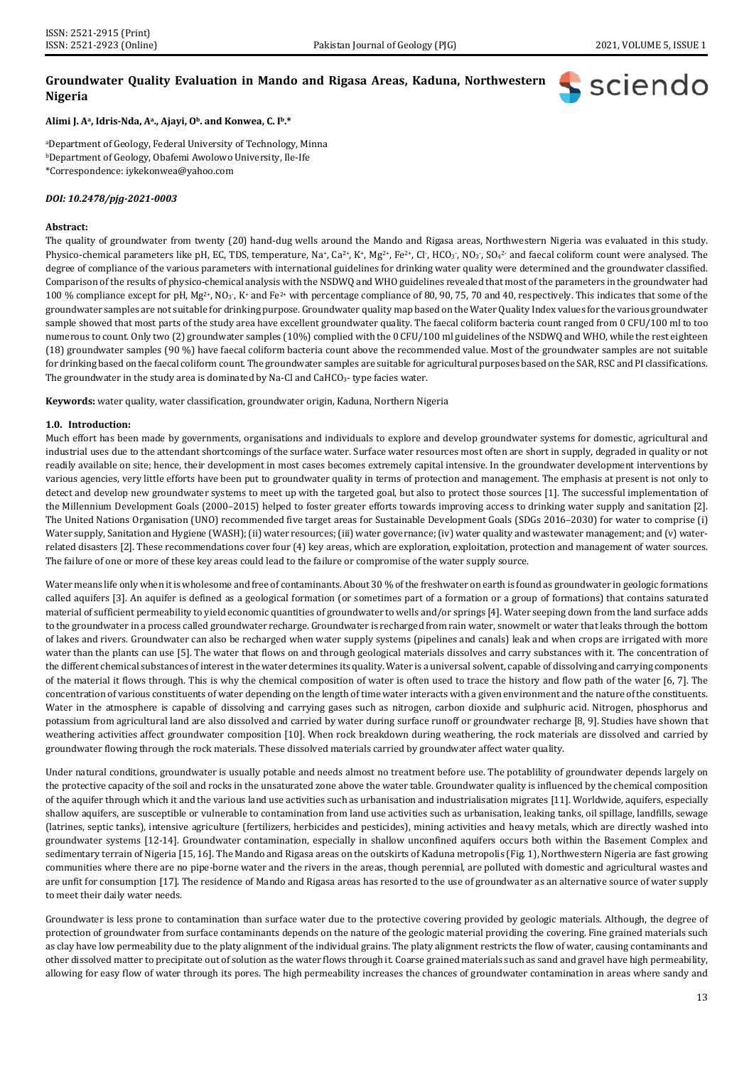**S** sciendo

# **Groundwater Quality Evaluation in Mando and Rigasa Areas, Kaduna, Northwestern Nigeria**

## **Alimi J. Aa, Idris-Nda, Aa., Ajayi, Ob. and Konwea, C. Ib.\***

aDepartment of Geology, Federal University of Technology, Minna bDepartment of Geology, Obafemi Awolowo University, Ile-Ife \*Correspondence[: iykekonwea@yahoo.com](mailto:iykekonwea@yahoo.com)

#### *DOI: 10.2478/pjg-2021-0003*

## **Abstract:**

The quality of groundwater from twenty (20) hand-dug wells around the Mando and Rigasa areas, Northwestern Nigeria was evaluated in this study. Physico-chemical parameters like pH, EC, TDS, temperature, Na<sup>+</sup>, Ca<sup>2+</sup>, K+, Mg<sup>2+</sup>, Fe<sup>2+</sup>, Cl<sup>-</sup>, HCO<sub>3</sub><sup>-</sup>, NO<sub>3</sub><sup>-</sup>, SO<sub>4</sub><sup>2</sup> and faecal coliform count were analysed. The degree of compliance of the various parameters with international guidelines for drinking water quality were determined and the groundwater classified. Comparison of the results of physico-chemical analysis with the NSDWQ and WHO guidelines revealed that most of the parameters in the groundwater had 100 % compliance except for pH, Mg<sup>2+</sup>, NO<sub>3</sub><sup>-</sup>, K+ and Fe<sup>2+</sup> with percentage compliance of 80, 90, 75, 70 and 40, respectively. This indicates that some of the groundwater samples are not suitable for drinking purpose. Groundwater quality map based on the Water Quality Index values for the various groundwater sample showed that most parts of the study area have excellent groundwater quality. The faecal coliform bacteria count ranged from 0 CFU/100 ml to too numerous to count. Only two (2) groundwater samples (10%) complied with the 0 CFU/100 ml guidelines of the NSDWQ and WHO, while the rest eighteen (18) groundwater samples (90 %) have faecal coliform bacteria count above the recommended value. Most of the groundwater samples are not suitable for drinking based on the faecal coliform count. The groundwater samples are suitable for agricultural purposes based on the SAR, RSC and PI classifications. The groundwater in the study area is dominated by Na-Cl and CaHCO<sub>3</sub>- type facies water.

**Keywords:** water quality, water classification, groundwater origin, Kaduna, Northern Nigeria

## **1.0. Introduction:**

Much effort has been made by governments, organisations and individuals to explore and develop groundwater systems for domestic, agricultural and industrial uses due to the attendant shortcomings of the surface water. Surface water resources most often are short in supply, degraded in quality or not readily available on site; hence, their development in most cases becomes extremely capital intensive. In the groundwater development interventions by various agencies, very little efforts have been put to groundwater quality in terms of protection and management. The emphasis at present is not only to detect and develop new groundwater systems to meet up with the targeted goal, but also to protect those sources [1]. The successful implementation of the Millennium Development Goals (2000–2015) helped to foster greater efforts towards improving access to drinking water supply and sanitation [2]. The United Nations Organisation (UNO) recommended five target areas for Sustainable Development Goals (SDGs 2016–2030) for water to comprise (i) Water supply, Sanitation and Hygiene (WASH); (ii) water resources; (iii) water governance; (iv) water quality and wastewater management; and (v) waterrelated disasters [2]. These recommendations cover four (4) key areas, which are exploration, exploitation, protection and management of water sources. The failure of one or more of these key areas could lead to the failure or compromise of the water supply source.

Water means life only when it is wholesome and free of contaminants. About 30 % of the freshwater on earth is found as groundwater in geologic formations called aquifers [3]. An aquifer is defined as a geological formation (or sometimes part of a formation or a group of formations) that contains saturated material of sufficient permeability to yield economic quantities of groundwater to wells and/or springs [4]. Water seeping down from the land surface adds to the groundwater in a process called groundwater recharge. Groundwater is recharged from rain water, snowmelt or water that leaks through the bottom of lakes and rivers. Groundwater can also be recharged when water supply systems (pipelines and canals) leak and when crops are irrigated with more water than the plants can use [5]. The water that flows on and through geological materials dissolves and carry substances with it. The concentration of the different chemical substances of interest in the water determines its quality. Water is a universal solvent, capable of dissolving and carrying components of the material it flows through. This is why the chemical composition of water is often used to trace the history and flow path of the water [6, 7]. The concentration of various constituents of water depending on the length of time water interacts with a given environment and the nature of the constituents. Water in the atmosphere is capable of dissolving and carrying gases such as nitrogen, carbon dioxide and sulphuric acid. Nitrogen, phosphorus and potassium from agricultural land are also dissolved and carried by water during surface runoff or groundwater recharge [8, 9]. Studies have shown that weathering activities affect groundwater composition [10]. When rock breakdown during weathering, the rock materials are dissolved and carried by groundwater flowing through the rock materials. These dissolved materials carried by groundwater affect water quality.

Under natural conditions, groundwater is usually potable and needs almost no treatment before use. The potablility of groundwater depends largely on the protective capacity of the soil and rocks in the unsaturated zone above the water table. Groundwater quality is influenced by the chemical composition of the aquifer through which it and the various land use activities such as urbanisation and industrialisation migrates [11]. Worldwide, aquifers, especially shallow aquifers, are susceptible or vulnerable to contamination from land use activities such as urbanisation, leaking tanks, oil spillage, landfills, sewage (latrines, septic tanks), intensive agriculture (fertilizers, herbicides and pesticides), mining activities and heavy metals, which are directly washed into groundwater systems [12-14]. Groundwater contamination, especially in shallow unconfined aquifers occurs both within the Basement Complex and sedimentary terrain of Nigeria [15, 16]. The Mando and Rigasa areas on the outskirts of Kaduna metropolis (Fig. 1), Northwestern Nigeria are fast growing communities where there are no pipe-borne water and the rivers in the areas, though perennial, are polluted with domestic and agricultural wastes and are unfit for consumption [17]. The residence of Mando and Rigasa areas has resorted to the use of groundwater as an alternative source of water supply to meet their daily water needs.

Groundwater is less prone to contamination than surface water due to the protective covering provided by geologic materials. Although, the degree of protection of groundwater from surface contaminants depends on the nature of the geologic material providing the covering. Fine grained materials such as clay have low permeability due to the platy alignment of the individual grains. The platy alignment restricts the flow of water, causing contaminants and other dissolved matter to precipitate out of solution as the water flows through it. Coarse grained materials such as sand and gravel have high permeability, allowing for easy flow of water through its pores. The high permeability increases the chances of groundwater contamination in areas where sandy and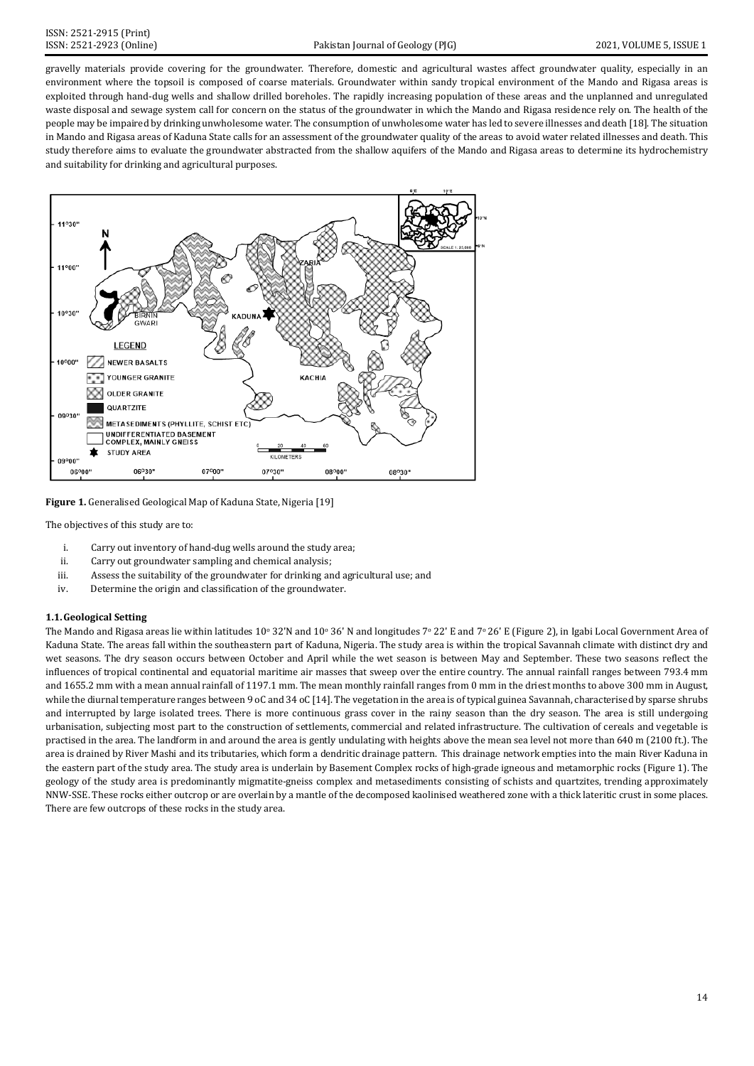gravelly materials provide covering for the groundwater. Therefore, domestic and agricultural wastes affect groundwater quality, especially in an environment where the topsoil is composed of coarse materials. Groundwater within sandy tropical environment of the Mando and Rigasa areas is exploited through hand-dug wells and shallow drilled boreholes. The rapidly increasing population of these areas and the unplanned and unregulated waste disposal and sewage system call for concern on the status of the groundwater in which the Mando and Rigasa residence rely on. The health of the people may be impaired by drinking unwholesome water. The consumption of unwholesome water has led to severe illnesses and death [18]. The situation in Mando and Rigasa areas of Kaduna State calls for an assessment of the groundwater quality of the areas to avoid water related illnesses and death. This study therefore aims to evaluate the groundwater abstracted from the shallow aquifers of the Mando and Rigasa areas to determine its hydrochemistry and suitability for drinking and agricultural purposes.



**Figure 1.** Generalised Geological Map of Kaduna State, Nigeria [19]

The objectives of this study are to:

- i. Carry out inventory of hand-dug wells around the study area;<br>ii. Carry out groundwater sampling and chemical analysis;
- Carry out groundwater sampling and chemical analysis;
- iii. Assess the suitability of the groundwater for drinking and agricultural use; and
- iv. Determine the origin and classification of the groundwater.

# **1.1.Geological Setting**

The Mando and Rigasa areas lie within latitudes  $10^{\circ}$  32'N and  $10^{\circ}$  36' N and longitudes  $7^{\circ}$  22' E and  $7^{\circ}$  26' E (Figure 2), in Igabi Local Government Area of Kaduna State. The areas fall within the southeastern part of Kaduna, Nigeria. The study area is within the tropical Savannah climate with distinct dry and wet seasons. The dry season occurs between October and April while the wet season is between May and September. These two seasons reflect the influences of tropical continental and equatorial maritime air masses that sweep over the entire country. The annual rainfall ranges between 793.4 mm and 1655.2 mm with a mean annual rainfall of 1197.1 mm. The mean monthly rainfall ranges from 0 mm in the driest months to above 300 mm in August, while the diurnal temperature ranges between 9 oC and 34 oC [14]. The vegetation in the area is of typical guinea Savannah, characterised by sparse shrubs and interrupted by large isolated trees. There is more continuous grass cover in the rainy season than the dry season. The area is still undergoing urbanisation, subjecting most part to the construction of settlements, commercial and related infrastructure. The cultivation of cereals and vegetable is practised in the area. The landform in and around the area is gently undulating with heights above the mean sea level not more than 640 m (2100 ft.). The area is drained by River Mashi and its tributaries, which form a dendritic drainage pattern. This drainage network empties into the main River Kaduna in the eastern part of the study area. The study area is underlain by Basement Complex rocks of high-grade igneous and metamorphic rocks (Figure 1). The geology of the study area is predominantly migmatite-gneiss complex and metasediments consisting of schists and quartzites, trending approximately NNW-SSE. These rocks either outcrop or are overlain by a mantle of the decomposed kaolinised weathered zone with a thick lateritic crust in some places. There are few outcrops of these rocks in the study area.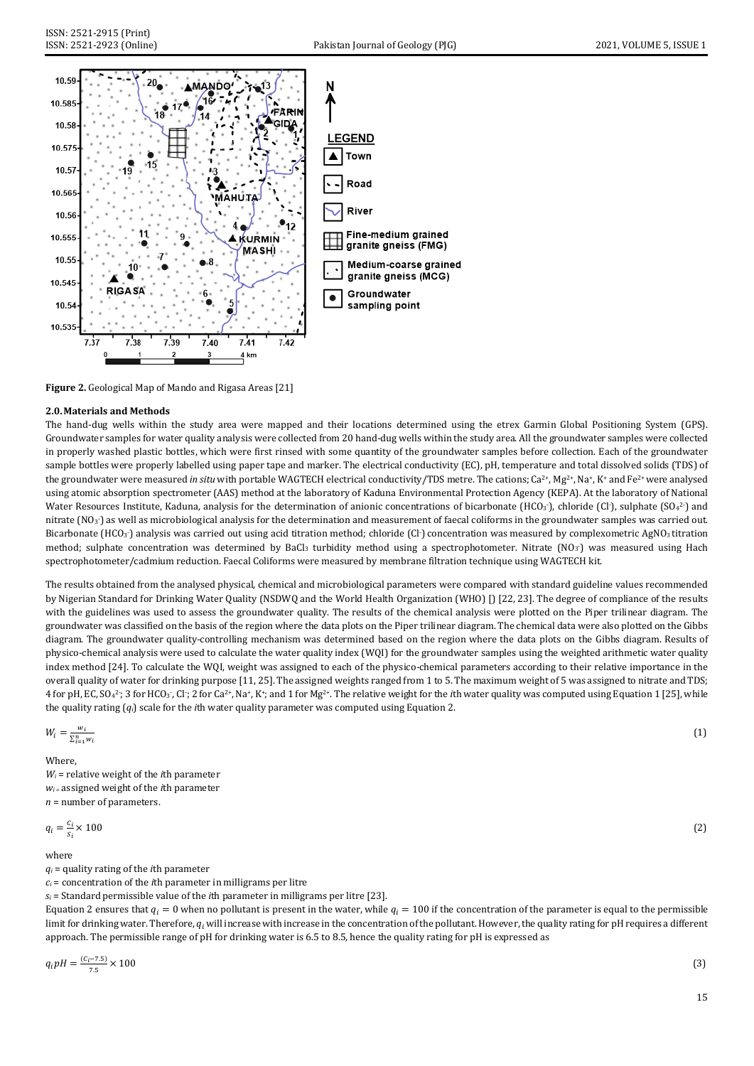

**Figure 2.** Geological Map of Mando and Rigasa Areas [21]

# **2.0.Materials and Methods**

The hand-dug wells within the study area were mapped and their locations determined using the etrex Garmin Global Positioning System (GPS). Groundwater samples for water quality analysis were collected from 20 hand-dug wells within the study area. All the groundwater samples were collected in properly washed plastic bottles, which were first rinsed with some quantity of the groundwater samples before collection. Each of the groundwater sample bottles were properly labelled using paper tape and marker. The electrical conductivity (EC), pH, temperature and total dissolved solids (TDS) of the groundwater were measured *in situ* with portable WAGTECH electrical conductivity/TDS metre. The cations; Ca<sup>2+</sup>, Mg<sup>2+</sup>, Na<sup>+</sup>, K<sup>+</sup> and Fe<sup>2+</sup> were analysed using atomic absorption spectrometer (AAS) method at the laboratory of Kaduna Environmental Protection Agency (KEPA). At the laboratory of National Water Resources Institute, Kaduna, analysis for the determination of anionic concentrations of bicarbonate  $(HCO<sub>3</sub>)$ , chloride (Cl-), sulphate  $(SO<sub>4</sub><sup>2</sup>)$  and nitrate (NO $_3$ ) as well as microbiological analysis for the determination and measurement of faecal coliforms in the groundwater samples was carried out. Bicarbonate (HCO3<sup>-</sup>) analysis was carried out using acid titration method; chloride (Cl<sup>-</sup>) concentration was measured by complexometric AgNO3 titration method; sulphate concentration was determined by BaCl<sub>3</sub> turbidity method using a spectrophotometer. Nitrate (NO<sub>3</sub><sup>-</sup>) was measured using Hach spectrophotometer/cadmium reduction. Faecal Coliforms were measured by membrane filtration technique using WAGTECH kit.

The results obtained from the analysed physical, chemical and microbiological parameters were compared with standard guideline values recommended by Nigerian Standard for Drinking Water Quality (NSDWQ and the World Health Organization (WHO) [) [22, 23]. The degree of compliance of the results with the guidelines was used to assess the groundwater quality. The results of the chemical analysis were plotted on the Piper trilinear diagram. The groundwater was classified on the basis of the region where the data plots on the Piper trilinear diagram. The chemical data were also plotted on the Gibbs diagram. The groundwater quality-controlling mechanism was determined based on the region where the data plots on the Gibbs diagram. Results of physico-chemical analysis were used to calculate the water quality index (WQI) for the groundwater samples using the weighted arithmetic water quality index method [24]. To calculate the WQI, weight was assigned to each of the physico-chemical parameters according to their relative importance in the overall quality of water for drinking purpose [11, 25]. The assigned weights ranged from 1 to 5. The maximum weight of 5 was assigned to nitrate and TDS; 4 for pH, EC, SO<sub>4</sub><sup>2</sup>; 3 for HCO<sub>3</sub>, Cl<sup>.</sup>; 2 for Ca<sup>2+</sup>, Na<sup>+</sup>, K<sup>+</sup>; and 1 for Mg<sup>2+</sup>. The relative weight for the *i*th water quality was computed using Equation 1 [25], while the quality rating (*qi*) scale for the *i*th water quality parameter was computed using Equation 2.

(1)

$$
W_i = \frac{w_i}{\sum_{i=1}^n w_i}
$$

Where, *Wi* = relative weight of the *i*th parameter *wi =* assigned weight of the *i*th parameter *n* = number of parameters.

$$
q_i = \frac{c_i}{s_i} \times 100 \tag{2}
$$

where

*qi* = quality rating of the *i*th parameter

*ci* = concentration of the *i*th parameter in milligrams per litre

 $s_i$  = Standard permissible value of the *i*th parameter in milligrams per litre [23].

Equation 2 ensures that  $q_i = 0$  when no pollutant is present in the water, while  $q_i = 100$  if the concentration of the parameter is equal to the permissible limit for drinking water. Therefore,  $q_i$  will increase with increase in the concentration of the pollutant. However, the quality rating for pH requires a different approach. The permissible range of pH for drinking water is 6.5 to 8.5, hence the quality rating for pH is expressed as

$$
q_i p = \frac{(c_i - 7.5)}{7.5} \times 100
$$
\n(3)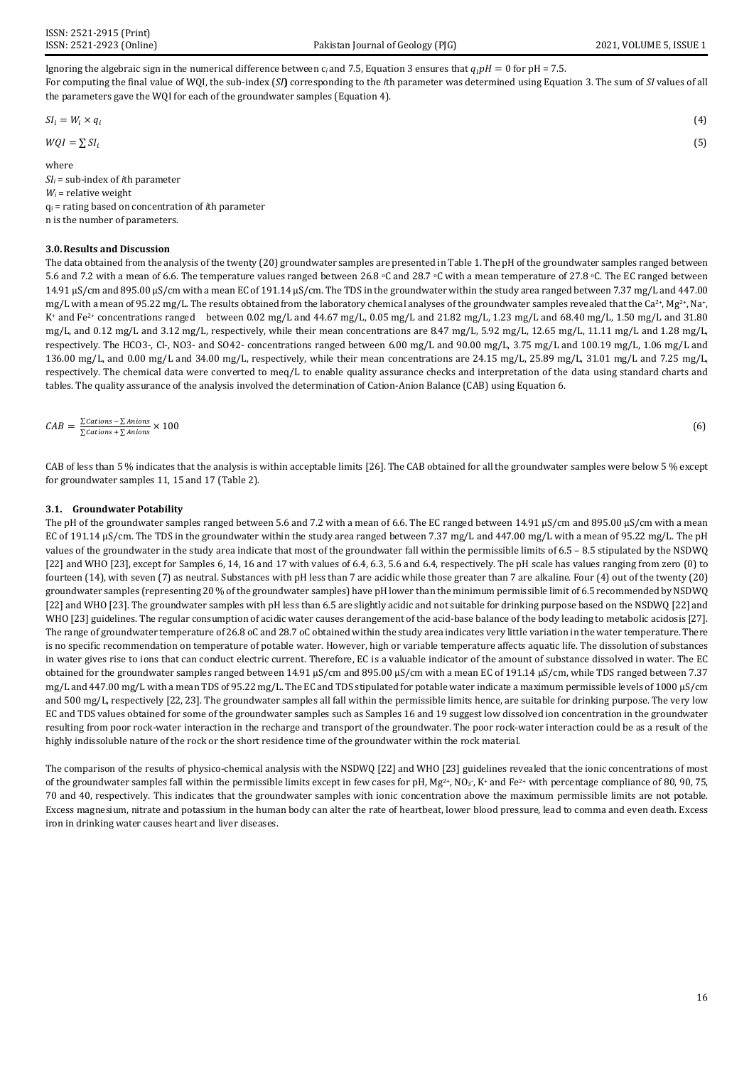Ignoring the algebraic sign in the numerical difference between  $c_i$  and 7.5, Equation 3 ensures that  $q_i pH = 0$  for pH = 7.5. For computing the final value of WQI, the sub-index (*SI***)** corresponding to the *i*th parameter was determined using Equation 3. The sum of *SI* values of all the parameters gave the WQI for each of the groundwater samples (Equation 4).

 $S_l = W_l \times q_l$  (4)

$$
\mathbf{r} = \mathbf{r} \cdot \mathbf{r}
$$

 $WQI = \sum SI_i$  (5)

where

*SIi* = sub-index of *i*th parameter *Wi* = relative weight qi = rating based on concentration of *i*th parameter n is the number of parameters.

# **3.0.Results and Discussion**

The data obtained from the analysis of the twenty (20) groundwater samples are presented in Table 1. The pH of the groundwater samples ranged between 5.6 and 7.2 with a mean of 6.6. The temperature values ranged between 26.8 °C and 28.7 °C with a mean temperature of 27.8 °C. The EC ranged between 14.91 μS/cm and 895.00 μS/cm with a mean EC of 191.14 μS/cm. The TDS in the groundwater within the study area ranged between 7.37 mg/L and 447.00 mg/L with a mean of 95.22 mg/L. The results obtained from the laboratory chemical analyses of the groundwater samples revealed that the Ca<sup>2+</sup>, Mg<sup>2+</sup>, Na+, K<sup>+</sup> and Fe<sup>2+</sup> concentrations ranged between 0.02 mg/L and 44.67 mg/L, 0.05 mg/L and 21.82 mg/L, 1.23 mg/L and 68.40 mg/L, 1.50 mg/L and 31.80 mg/L, and 0.12 mg/L and 3.12 mg/L, respectively, while their mean concentrations are 8.47 mg/L, 5.92 mg/L, 12.65 mg/L, 11.11 mg/L and 1.28 mg/L, respectively. The HCO3-, Cl-, NO3- and SO42- concentrations ranged between 6.00 mg/L and 90.00 mg/L, 3.75 mg/L and 100.19 mg/L, 1.06 mg/L and 136.00 mg/L, and 0.00 mg/L and 34.00 mg/L, respectively, while their mean concentrations are 24.15 mg/L, 25.89 mg/L, 31.01 mg/L and 7.25 mg/L, respectively. The chemical data were converted to meq/L to enable quality assurance checks and interpretation of the data using standard charts and tables. The quality assurance of the analysis involved the determination of Cation-Anion Balance (CAB) using Equation 6.

$$
CAB = \frac{\sum cations - \sum Anions}{\sum cations + \sum Anions} \times 100 \tag{6}
$$

CAB of less than 5 % indicates that the analysis is within acceptable limits [26]. The CAB obtained for all the groundwater samples were below 5 % except for groundwater samples 11, 15 and 17 (Table 2).

## **3.1. Groundwater Potability**

The pH of the groundwater samples ranged between 5.6 and 7.2 with a mean of 6.6. The EC ranged between 14.91 μS/cm and 895.00 μS/cm with a mean EC of 191.14 μS/cm. The TDS in the groundwater within the study area ranged between 7.37 mg/L and 447.00 mg/L with a mean of 95.22 mg/L. The pH values of the groundwater in the study area indicate that most of the groundwater fall within the permissible limits of 6.5 – 8.5 stipulated by the NSDWQ [22] and WHO [23], except for Samples 6, 14, 16 and 17 with values of 6.4, 6.3, 5.6 and 6.4, respectively. The pH scale has values ranging from zero (0) to fourteen (14), with seven (7) as neutral. Substances with pH less than 7 are acidic while those greater than 7 are alkaline. Four (4) out of the twenty (20) groundwater samples (representing 20 % of the groundwater samples) have pH lower than the minimum permissible limit of 6.5 recommended by NSDWQ [22] and WHO [23]. The groundwater samples with pH less than 6.5 are slightly acidic and not suitable for drinking purpose based on the NSDWQ [22] and WHO [23] guidelines. The regular consumption of acidic water causes derangement of the acid-base balance of the body leading to metabolic acidosis [27]. The range of groundwater temperature of 26.8 oC and 28.7 oC obtained within the study area indicates very little variation in the water temperature. There is no specific recommendation on temperature of potable water. However, high or variable temperature affects aquatic life. The dissolution of substances in water gives rise to ions that can conduct electric current. Therefore, EC is a valuable indicator of the amount of substance dissolved in water. The EC obtained for the groundwater samples ranged between 14.91 μS/cm and 895.00 μS/cm with a mean EC of 191.14 μS/cm, while TDS ranged between 7.37 mg/L and 447.00 mg/L with a mean TDS of 95.22 mg/L. The EC and TDS stipulated for potable water indicate a maximum permissible levels of 1000 μS/cm and 500 mg/L, respectively [22, 23]. The groundwater samples all fall within the permissible limits hence, are suitable for drinking purpose. The very low EC and TDS values obtained for some of the groundwater samples such as Samples 16 and 19 suggest low dissolved ion concentration in the groundwater resulting from poor rock-water interaction in the recharge and transport of the groundwater. The poor rock-water interaction could be as a result of the highly indissoluble nature of the rock or the short residence time of the groundwater within the rock material.

The comparison of the results of physico-chemical analysis with the NSDWQ [22] and WHO [23] guidelines revealed that the ionic concentrations of most of the groundwater samples fall within the permissible limits except in few cases for pH,  $Mg^{2+}$ , NO<sub>3</sub><sup>-</sup>, NO<sub>3</sub><sup>-</sup>, With percentage compliance of 80, 90, 75, 70 and 40, respectively. This indicates that the groundwater samples with ionic concentration above the maximum permissible limits are not potable. Excess magnesium, nitrate and potassium in the human body can alter the rate of heartbeat, lower blood pressure, lead to comma and even death. Excess iron in drinking water causes heart and liver diseases.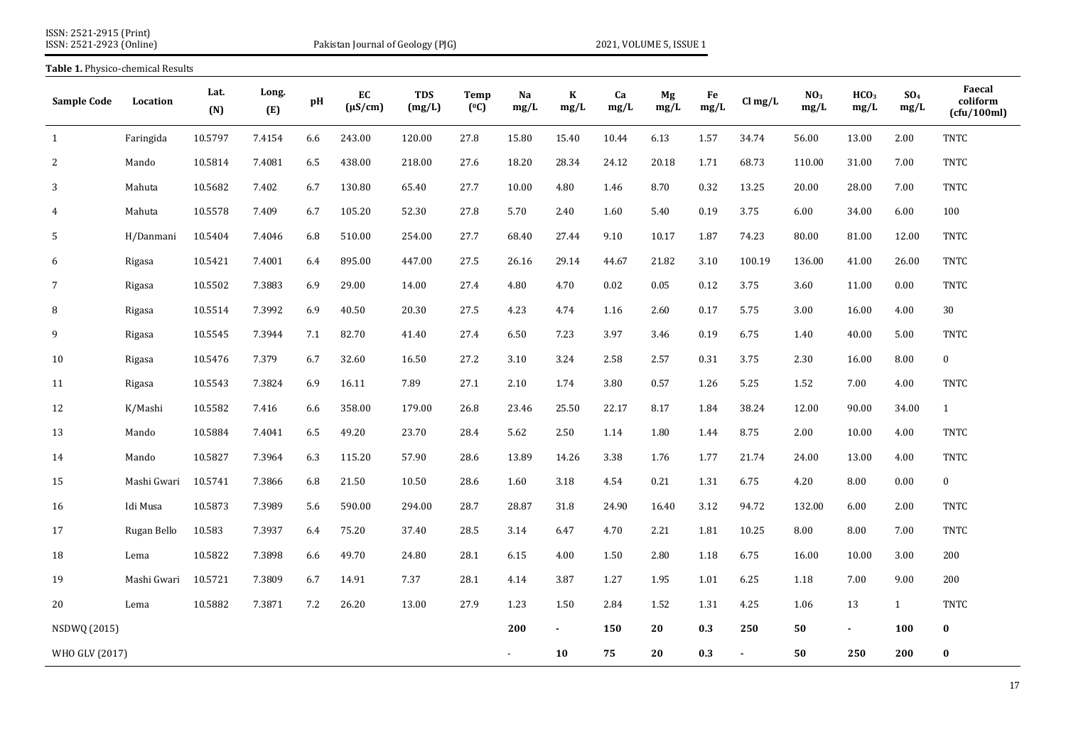| ISSN: 2521-2915 (Print)  |  |
|--------------------------|--|
| ISSN: 2521-2923 (Online) |  |

**Table 1.** Physico-chemical Results

Pakistan Journal of Geology (PJG) 2021, VOLUME 5, ISSUE 1

| <b>Sample Code</b> | Location    | Lat.<br>(N) | Long.<br>(E) | pH      | EC<br>$(\mu S/cm)$ | <b>TDS</b><br>(mg/L) | Temp<br>(°C) | Na<br>mg/L | $\bf K$<br>mg/L | Ca<br>mg/L | Mg<br>mg/L | Fe<br>mg/L | $Cl$ mg/L | NO <sub>3</sub><br>mg/L | HCO <sub>3</sub><br>mg/L | SO <sub>4</sub><br>mg/L | Faecal<br>coliform<br>(cfu/100ml) |
|--------------------|-------------|-------------|--------------|---------|--------------------|----------------------|--------------|------------|-----------------|------------|------------|------------|-----------|-------------------------|--------------------------|-------------------------|-----------------------------------|
| 1                  | Faringida   | 10.5797     | 7.4154       | 6.6     | 243.00             | 120.00               | 27.8         | 15.80      | 15.40           | 10.44      | 6.13       | 1.57       | 34.74     | 56.00                   | 13.00                    | 2.00                    | <b>TNTC</b>                       |
| 2                  | Mando       | 10.5814     | 7.4081       | 6.5     | 438.00             | 218.00               | 27.6         | 18.20      | 28.34           | 24.12      | 20.18      | 1.71       | 68.73     | 110.00                  | 31.00                    | 7.00                    | <b>TNTC</b>                       |
| 3                  | Mahuta      | 10.5682     | 7.402        | 6.7     | 130.80             | 65.40                | 27.7         | 10.00      | 4.80            | 1.46       | 8.70       | 0.32       | 13.25     | 20.00                   | 28.00                    | 7.00                    | <b>TNTC</b>                       |
| 4                  | Mahuta      | 10.5578     | 7.409        | 6.7     | 105.20             | 52.30                | 27.8         | 5.70       | 2.40            | 1.60       | 5.40       | 0.19       | 3.75      | 6.00                    | 34.00                    | 6.00                    | 100                               |
| 5                  | H/Danmani   | 10.5404     | 7.4046       | 6.8     | 510.00             | 254.00               | 27.7         | 68.40      | 27.44           | 9.10       | 10.17      | 1.87       | 74.23     | 80.00                   | 81.00                    | 12.00                   | <b>TNTC</b>                       |
| 6                  | Rigasa      | 10.5421     | 7.4001       | 6.4     | 895.00             | 447.00               | 27.5         | 26.16      | 29.14           | 44.67      | 21.82      | 3.10       | 100.19    | 136.00                  | 41.00                    | 26.00                   | <b>TNTC</b>                       |
| $\overline{7}$     | Rigasa      | 10.5502     | 7.3883       | 6.9     | 29.00              | 14.00                | 27.4         | 4.80       | 4.70            | 0.02       | 0.05       | 0.12       | 3.75      | 3.60                    | 11.00                    | 0.00                    | <b>TNTC</b>                       |
| 8                  | Rigasa      | 10.5514     | 7.3992       | 6.9     | 40.50              | 20.30                | 27.5         | 4.23       | 4.74            | 1.16       | 2.60       | 0.17       | 5.75      | 3.00                    | 16.00                    | 4.00                    | 30                                |
| 9                  | Rigasa      | 10.5545     | 7.3944       | $7.1\,$ | 82.70              | 41.40                | 27.4         | 6.50       | 7.23            | 3.97       | 3.46       | 0.19       | 6.75      | 1.40                    | 40.00                    | 5.00                    | <b>TNTC</b>                       |
| 10                 | Rigasa      | 10.5476     | 7.379        | 6.7     | 32.60              | 16.50                | 27.2         | 3.10       | 3.24            | 2.58       | 2.57       | 0.31       | 3.75      | 2.30                    | 16.00                    | 8.00                    | $\bf{0}$                          |
| 11                 | Rigasa      | 10.5543     | 7.3824       | 6.9     | 16.11              | 7.89                 | 27.1         | 2.10       | 1.74            | 3.80       | 0.57       | 1.26       | 5.25      | 1.52                    | 7.00                     | 4.00                    | <b>TNTC</b>                       |
| 12                 | K/Mashi     | 10.5582     | 7.416        | 6.6     | 358.00             | 179.00               | 26.8         | 23.46      | 25.50           | 22.17      | 8.17       | 1.84       | 38.24     | 12.00                   | 90.00                    | 34.00                   | $\mathbf{1}$                      |
| 13                 | Mando       | 10.5884     | 7.4041       | 6.5     | 49.20              | 23.70                | 28.4         | 5.62       | 2.50            | 1.14       | 1.80       | 1.44       | 8.75      | 2.00                    | 10.00                    | 4.00                    | <b>TNTC</b>                       |
| 14                 | Mando       | 10.5827     | 7.3964       | 6.3     | 115.20             | 57.90                | 28.6         | 13.89      | 14.26           | 3.38       | 1.76       | 1.77       | 21.74     | 24.00                   | 13.00                    | 4.00                    | TNTC                              |
| 15                 | Mashi Gwari | 10.5741     | 7.3866       | 6.8     | 21.50              | 10.50                | 28.6         | 1.60       | 3.18            | 4.54       | 0.21       | 1.31       | 6.75      | 4.20                    | 8.00                     | 0.00                    | $\bf{0}$                          |
| 16                 | Idi Musa    | 10.5873     | 7.3989       | 5.6     | 590.00             | 294.00               | 28.7         | 28.87      | 31.8            | 24.90      | 16.40      | 3.12       | 94.72     | 132.00                  | 6.00                     | 2.00                    | TNTC                              |
| 17                 | Rugan Bello | 10.583      | 7.3937       | 6.4     | 75.20              | 37.40                | 28.5         | 3.14       | 6.47            | 4.70       | 2.21       | 1.81       | 10.25     | 8.00                    | 8.00                     | 7.00                    | TNTC                              |
| 18                 | Lema        | 10.5822     | 7.3898       | 6.6     | 49.70              | 24.80                | 28.1         | 6.15       | 4.00            | 1.50       | 2.80       | 1.18       | 6.75      | 16.00                   | 10.00                    | 3.00                    | 200                               |
| 19                 | Mashi Gwari | 10.5721     | 7.3809       | 6.7     | 14.91              | 7.37                 | 28.1         | 4.14       | 3.87            | 1.27       | 1.95       | 1.01       | 6.25      | 1.18                    | 7.00                     | 9.00                    | 200                               |
| 20                 | Lema        | 10.5882     | 7.3871       | 7.2     | 26.20              | 13.00                | 27.9         | 1.23       | 1.50            | 2.84       | 1.52       | 1.31       | 4.25      | 1.06                    | 13                       | 1                       | TNTC                              |
| NSDWQ (2015)       |             |             |              |         |                    |                      |              | 200        | $\blacksquare$  | 150        | 20         | 0.3        | 250       | 50                      | $\blacksquare$           | <b>100</b>              | $\bf{0}$                          |
| WHO GLV (2017)     |             |             |              |         |                    |                      |              |            | 10              | 75         | 20         | 0.3        |           | 50                      | 250                      | 200                     | $\bf{0}$                          |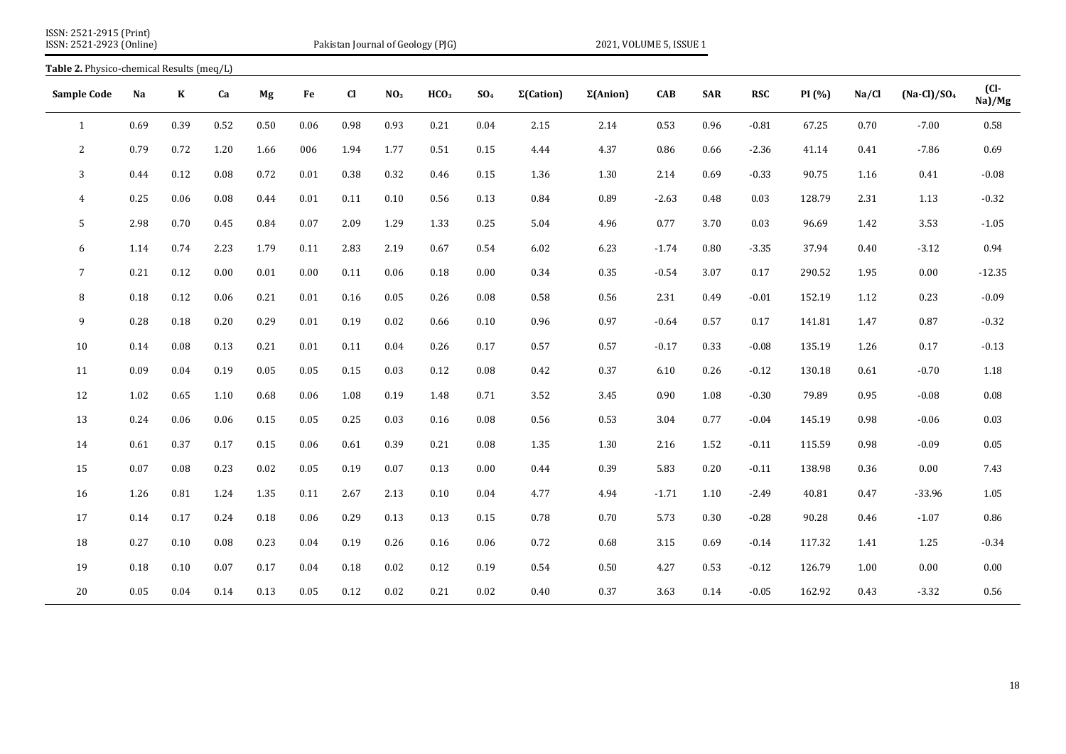| ISSN: 2521-2915 (Print)  |  |
|--------------------------|--|
| ISSN: 2521-2923 (Online) |  |

Pakistan Journal of Geology (PJG) 2021, VOLUME 5, ISSUE 1

|                    | Table 2. Physico-chemical Results (meg/L) |         |          |      |          |             |                 |                  |                 |                   |                  |            |            |            |        |       |               |                    |
|--------------------|-------------------------------------------|---------|----------|------|----------|-------------|-----------------|------------------|-----------------|-------------------|------------------|------------|------------|------------|--------|-------|---------------|--------------------|
| <b>Sample Code</b> | Na                                        | $\bf K$ | Ca       | Mg   | Fe       | $_{\rm Cl}$ | NO <sub>3</sub> | HCO <sub>3</sub> | SO <sub>4</sub> | $\Sigma$ (Cation) | $\Sigma$ (Anion) | <b>CAB</b> | <b>SAR</b> | <b>RSC</b> | PI (%) | Na/Cl | $(Na-Cl)/SO4$ | $CL-$<br>$Na$ )/Mg |
| $\mathbf{1}$       | 0.69                                      | 0.39    | 0.52     | 0.50 | 0.06     | 0.98        | 0.93            | 0.21             | 0.04            | 2.15              | 2.14             | 0.53       | 0.96       | $-0.81$    | 67.25  | 0.70  | $-7.00$       | 0.58               |
| 2                  | 0.79                                      | 0.72    | 1.20     | 1.66 | 006      | 1.94        | 1.77            | 0.51             | 0.15            | 4.44              | 4.37             | 0.86       | 0.66       | $-2.36$    | 41.14  | 0.41  | $-7.86$       | 0.69               |
| 3                  | 0.44                                      | 0.12    | 0.08     | 0.72 | 0.01     | 0.38        | 0.32            | 0.46             | 0.15            | 1.36              | 1.30             | 2.14       | 0.69       | $-0.33$    | 90.75  | 1.16  | 0.41          | $-0.08$            |
| $\overline{4}$     | 0.25                                      | 0.06    | 0.08     | 0.44 | 0.01     | 0.11        | 0.10            | 0.56             | 0.13            | 0.84              | 0.89             | $-2.63$    | 0.48       | 0.03       | 128.79 | 2.31  | 1.13          | $-0.32$            |
| 5                  | 2.98                                      | 0.70    | 0.45     | 0.84 | 0.07     | 2.09        | 1.29            | 1.33             | 0.25            | 5.04              | 4.96             | 0.77       | 3.70       | 0.03       | 96.69  | 1.42  | 3.53          | $-1.05$            |
| 6                  | 1.14                                      | 0.74    | 2.23     | 1.79 | 0.11     | 2.83        | 2.19            | 0.67             | 0.54            | 6.02              | 6.23             | $-1.74$    | 0.80       | $-3.35$    | 37.94  | 0.40  | $-3.12$       | 0.94               |
| $\overline{7}$     | 0.21                                      | 0.12    | 0.00     | 0.01 | $0.00\,$ | 0.11        | 0.06            | 0.18             | 0.00            | 0.34              | 0.35             | $-0.54$    | 3.07       | 0.17       | 290.52 | 1.95  | 0.00          | $-12.35$           |
| 8                  | 0.18                                      | 0.12    | $0.06\,$ | 0.21 | 0.01     | 0.16        | 0.05            | 0.26             | 0.08            | 0.58              | 0.56             | 2.31       | 0.49       | $-0.01$    | 152.19 | 1.12  | 0.23          | $-0.09$            |
| 9                  | 0.28                                      | 0.18    | $0.20\,$ | 0.29 | 0.01     | 0.19        | 0.02            | 0.66             | 0.10            | 0.96              | 0.97             | $-0.64$    | 0.57       | 0.17       | 141.81 | 1.47  | 0.87          | $-0.32$            |
| 10                 | 0.14                                      | 0.08    | 0.13     | 0.21 | 0.01     | 0.11        | 0.04            | 0.26             | 0.17            | 0.57              | 0.57             | $-0.17$    | 0.33       | $-0.08$    | 135.19 | 1.26  | 0.17          | $-0.13$            |
| 11                 | 0.09                                      | 0.04    | 0.19     | 0.05 | 0.05     | 0.15        | 0.03            | 0.12             | 0.08            | 0.42              | 0.37             | 6.10       | 0.26       | $-0.12$    | 130.18 | 0.61  | $-0.70$       | 1.18               |
| 12                 | 1.02                                      | 0.65    | 1.10     | 0.68 | 0.06     | 1.08        | 0.19            | 1.48             | 0.71            | 3.52              | 3.45             | 0.90       | 1.08       | $-0.30$    | 79.89  | 0.95  | $-0.08$       | 0.08               |
| 13                 | 0.24                                      | 0.06    | 0.06     | 0.15 | 0.05     | 0.25        | 0.03            | 0.16             | 0.08            | 0.56              | 0.53             | 3.04       | 0.77       | $-0.04$    | 145.19 | 0.98  | $-0.06$       | 0.03               |
| 14                 | 0.61                                      | 0.37    | 0.17     | 0.15 | 0.06     | 0.61        | 0.39            | 0.21             | 0.08            | 1.35              | 1.30             | 2.16       | 1.52       | $-0.11$    | 115.59 | 0.98  | $-0.09$       | 0.05               |
| 15                 | 0.07                                      | 0.08    | 0.23     | 0.02 | 0.05     | 0.19        | 0.07            | 0.13             | 0.00            | 0.44              | 0.39             | 5.83       | 0.20       | $-0.11$    | 138.98 | 0.36  | 0.00          | 7.43               |
| 16                 | 1.26                                      | 0.81    | 1.24     | 1.35 | 0.11     | 2.67        | 2.13            | 0.10             | 0.04            | 4.77              | 4.94             | $-1.71$    | 1.10       | $-2.49$    | 40.81  | 0.47  | $-33.96$      | 1.05               |
| 17                 | 0.14                                      | 0.17    | 0.24     | 0.18 | 0.06     | 0.29        | 0.13            | 0.13             | 0.15            | 0.78              | 0.70             | 5.73       | 0.30       | $-0.28$    | 90.28  | 0.46  | $-1.07$       | 0.86               |
| 18                 | 0.27                                      | 0.10    | 0.08     | 0.23 | 0.04     | 0.19        | 0.26            | 0.16             | 0.06            | 0.72              | 0.68             | 3.15       | 0.69       | $-0.14$    | 117.32 | 1.41  | 1.25          | $-0.34$            |
| 19                 | 0.18                                      | 0.10    | $0.07\,$ | 0.17 | 0.04     | 0.18        | 0.02            | 0.12             | 0.19            | 0.54              | 0.50             | 4.27       | 0.53       | $-0.12$    | 126.79 | 1.00  | 0.00          | 0.00               |
| 20                 | 0.05                                      | 0.04    | 0.14     | 0.13 | 0.05     | 0.12        | 0.02            | 0.21             | 0.02            | 0.40              | 0.37             | 3.63       | 0.14       | $-0.05$    | 162.92 | 0.43  | $-3.32$       | 0.56               |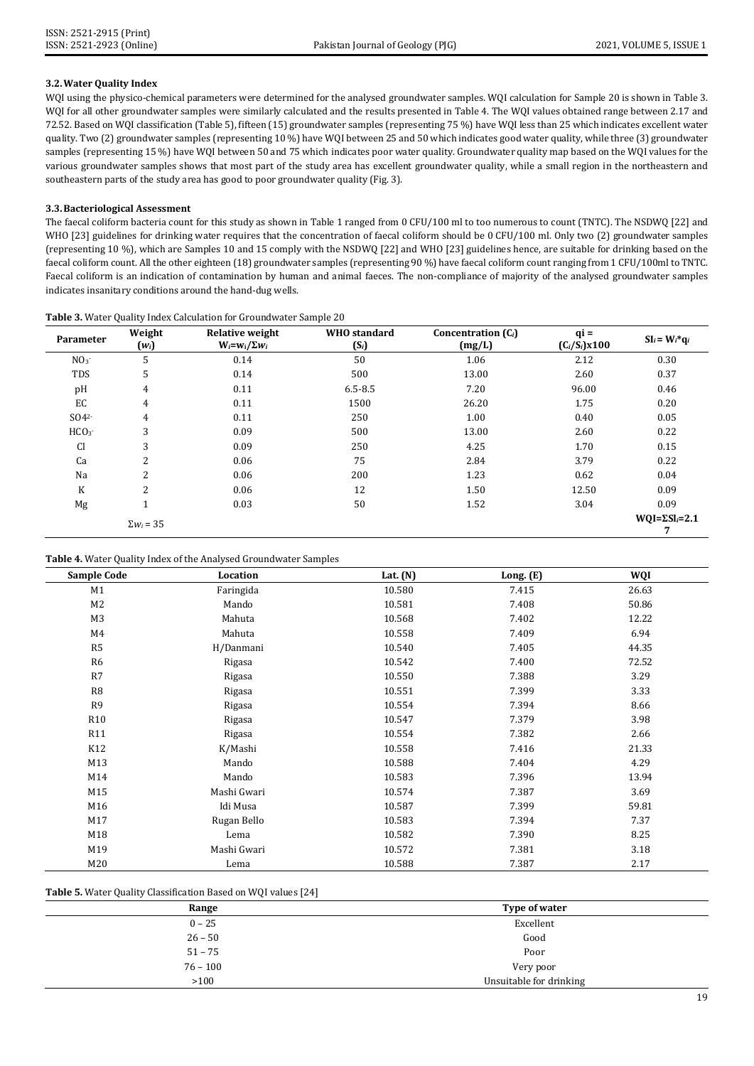# **3.2.Water Quality Index**

WQI using the physico-chemical parameters were determined for the analysed groundwater samples. WQI calculation for Sample 20 is shown in Table 3. WQI for all other groundwater samples were similarly calculated and the results presented in Table 4. The WQI values obtained range between 2.17 and 72.52. Based on WQI classification (Table 5), fifteen (15) groundwater samples (representing 75 %) have WQI less than 25 which indicates excellent water quality. Two (2) groundwater samples (representing 10 %) have WQI between 25 and 50 which indicates good water quality, while three (3) groundwater samples (representing 15 %) have WQI between 50 and 75 which indicates poor water quality. Groundwater quality map based on the WQI values for the various groundwater samples shows that most part of the study area has excellent groundwater quality, while a small region in the northeastern and southeastern parts of the study area has good to poor groundwater quality (Fig. 3).

# **3.3.Bacteriological Assessment**

The faecal coliform bacteria count for this study as shown in Table 1 ranged from 0 CFU/100 ml to too numerous to count (TNTC). The NSDWQ [22] and WHO [23] guidelines for drinking water requires that the concentration of faecal coliform should be 0 CFU/100 ml. Only two (2) groundwater samples (representing 10 %), which are Samples 10 and 15 comply with the NSDWQ [22] and WHO [23] guidelines hence, are suitable for drinking based on the faecal coliform count. All the other eighteen (18) groundwater samples (representing 90 %) have faecal coliform count ranging from 1 CFU/100ml to TNTC. Faecal coliform is an indication of contamination by human and animal faeces. The non-compliance of majority of the analysed groundwater samples indicates insanitary conditions around the hand-dug wells.

| Parameter        | Weight<br>$(w_i)$ | <b>Relative weight</b><br>$W_i = w_i / \Sigma w_i$ | <b>WHO</b> standard<br>$(S_i)$ | Concentration $(C_i)$<br>(mg/L) | $q_i =$<br>$(C_i/S_i) \times 100$ | $SI_i = Wi^* q_i$         |
|------------------|-------------------|----------------------------------------------------|--------------------------------|---------------------------------|-----------------------------------|---------------------------|
| NO <sub>3</sub>  | 5                 | 0.14                                               | 50                             | 1.06                            | 2.12                              | 0.30                      |
| <b>TDS</b>       | 5                 | 0.14                                               | 500                            | 13.00                           | 2.60                              | 0.37                      |
| pH               | 4                 | 0.11                                               | $6.5 - 8.5$                    | 7.20                            | 96.00                             | 0.46                      |
| EC               | 4                 | 0.11                                               | 1500                           | 26.20                           | 1.75                              | 0.20                      |
| SO4 <sup>2</sup> | $\overline{4}$    | 0.11                                               | 250                            | 1.00                            | 0.40                              | 0.05                      |
| HCO <sub>3</sub> | 3                 | 0.09                                               | 500                            | 13.00                           | 2.60                              | 0.22                      |
| <b>Cl</b>        | 3                 | 0.09                                               | 250                            | 4.25                            | 1.70                              | 0.15                      |
| Ca               | 2                 | 0.06                                               | 75                             | 2.84                            | 3.79                              | 0.22                      |
| Na               | $\overline{2}$    | 0.06                                               | 200                            | 1.23                            | 0.62                              | 0.04                      |
| K                | $\overline{2}$    | 0.06                                               | 12                             | 1.50                            | 12.50                             | 0.09                      |
| Mg               | T.                | 0.03                                               | 50                             | 1.52                            | 3.04                              | 0.09                      |
|                  | $\Sigma w_i = 35$ |                                                    |                                |                                 |                                   | $WQI = \Sigma SI_i = 2.1$ |

## **Table 3.** Water Quality Index Calculation for Groundwater Sample 20

#### **Table 4.** Water Quality Index of the Analysed Groundwater Samples

| <b>Sample Code</b> | Location    | Lat. $(N)$ | Long. (E) | WQI   |
|--------------------|-------------|------------|-----------|-------|
| M1                 | Faringida   | 10.580     | 7.415     | 26.63 |
| M <sub>2</sub>     | Mando       | 10.581     | 7.408     | 50.86 |
| M <sub>3</sub>     | Mahuta      | 10.568     | 7.402     | 12.22 |
| M4                 | Mahuta      | 10.558     | 7.409     | 6.94  |
| R5                 | H/Danmani   | 10.540     | 7.405     | 44.35 |
| R6                 | Rigasa      | 10.542     | 7.400     | 72.52 |
| R7                 | Rigasa      | 10.550     | 7.388     | 3.29  |
| R <sub>8</sub>     | Rigasa      | 10.551     | 7.399     | 3.33  |
| R <sub>9</sub>     | Rigasa      | 10.554     | 7.394     | 8.66  |
| <b>R10</b>         | Rigasa      | 10.547     | 7.379     | 3.98  |
| R11                | Rigasa      | 10.554     | 7.382     | 2.66  |
| K12                | K/Mashi     | 10.558     | 7.416     | 21.33 |
| M13                | Mando       | 10.588     | 7.404     | 4.29  |
| M14                | Mando       | 10.583     | 7.396     | 13.94 |
| M15                | Mashi Gwari | 10.574     | 7.387     | 3.69  |
| M16                | Idi Musa    | 10.587     | 7.399     | 59.81 |
| M17                | Rugan Bello | 10.583     | 7.394     | 7.37  |
| M18                | Lema        | 10.582     | 7.390     | 8.25  |
| M19                | Mashi Gwari | 10.572     | 7.381     | 3.18  |
| M20                | Lema        | 10.588     | 7.387     | 2.17  |

# **Table 5.** Water Quality Classification Based on WQI values [24]

| Range      | Type of water           |
|------------|-------------------------|
| $0 - 25$   | Excellent               |
| $26 - 50$  | Good                    |
| $51 - 75$  | Poor                    |
| $76 - 100$ | Very poor               |
| >100       | Unsuitable for drinking |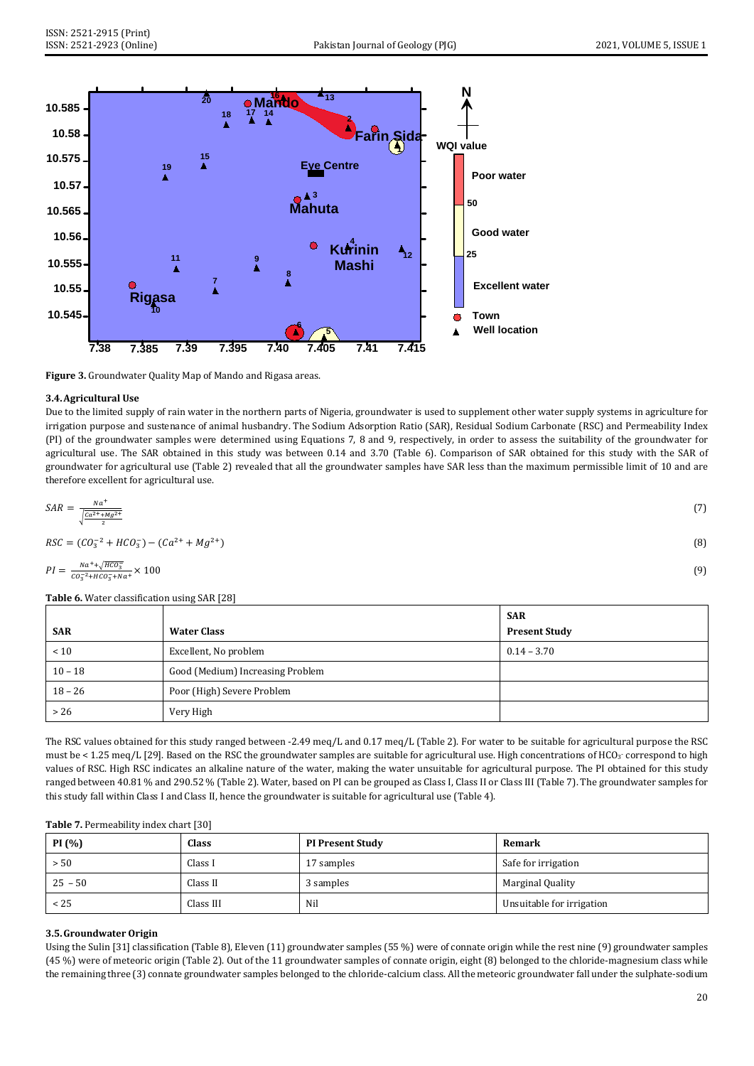

**Figure 3.** Groundwater Quality Map of Mando and Rigasa areas.

## **3.4.Agricultural Use**

Due to the limited supply of rain water in the northern parts of Nigeria, groundwater is used to supplement other water supply systems in agriculture for irrigation purpose and sustenance of animal husbandry. The Sodium Adsorption Ratio (SAR), Residual Sodium Carbonate (RSC) and Permeability Index (PI) of the groundwater samples were determined using Equations 7, 8 and 9, respectively, in order to assess the suitability of the groundwater for agricultural use. The SAR obtained in this study was between 0.14 and 3.70 (Table 6). Comparison of SAR obtained for this study with the SAR of groundwater for agricultural use (Table 2) revealed that all the groundwater samples have SAR less than the maximum permissible limit of 10 and are therefore excellent for agricultural use.

$$
SAR = \frac{N a^+}{\sqrt{\frac{Ca^{2+} + Mg^{2+}}{2}}}
$$
\n
$$
RSC = (CO_3^{-2} + HCO_3^{-}) - (Ca^{2+} + Mg^{2+})
$$
\n(8)

$$
PI = \frac{N a^+ + \sqrt{H C O_3^-}}{C O_3^{-2} + H C O_3^- + N a^+} \times 100
$$
\n<sup>(9)</sup>

**Table 6.** Water classification using SAR [28]

|            |                                  | <b>SAR</b>           |
|------------|----------------------------------|----------------------|
| <b>SAR</b> | <b>Water Class</b>               | <b>Present Study</b> |
| < 10       | Excellent, No problem            | $0.14 - 3.70$        |
| $10 - 18$  | Good (Medium) Increasing Problem |                      |
| $18 - 26$  | Poor (High) Severe Problem       |                      |
| $>26$      | Very High                        |                      |

The RSC values obtained for this study ranged between -2.49 meq/L and 0.17 meq/L (Table 2). For water to be suitable for agricultural purpose the RSC must be < 1.25 meq/L [29]. Based on the RSC the groundwater samples are suitable for agricultural use. High concentrations of HCO<sub>3</sub> correspond to high values of RSC. High RSC indicates an alkaline nature of the water, making the water unsuitable for agricultural purpose. The PI obtained for this study ranged between 40.81 % and 290.52 % (Table 2). Water, based on PI can be grouped as Class I, Class II or Class III (Table 7). The groundwater samples for this study fall within Class I and Class II, hence the groundwater is suitable for agricultural use (Table 4).

| PI(%)     | Class     | <b>PI Present Study</b> | Remark                    |
|-----------|-----------|-------------------------|---------------------------|
| > 50      | Class I   | 17 samples              | Safe for irrigation       |
| $25 - 50$ | Class II  | 3 samples               | Marginal Quality          |
| < 25      | Class III | Nil                     | Unsuitable for irrigation |

# **3.5.Groundwater Origin**

Using the Sulin [31] classification (Table 8), Eleven (11) groundwater samples (55 %) were of connate origin while the rest nine (9) groundwater samples (45 %) were of meteoric origin (Table 2). Out of the 11 groundwater samples of connate origin, eight (8) belonged to the chloride-magnesium class while the remaining three (3) connate groundwater samples belonged to the chloride-calcium class. All the meteoric groundwater fall under the sulphate-sodium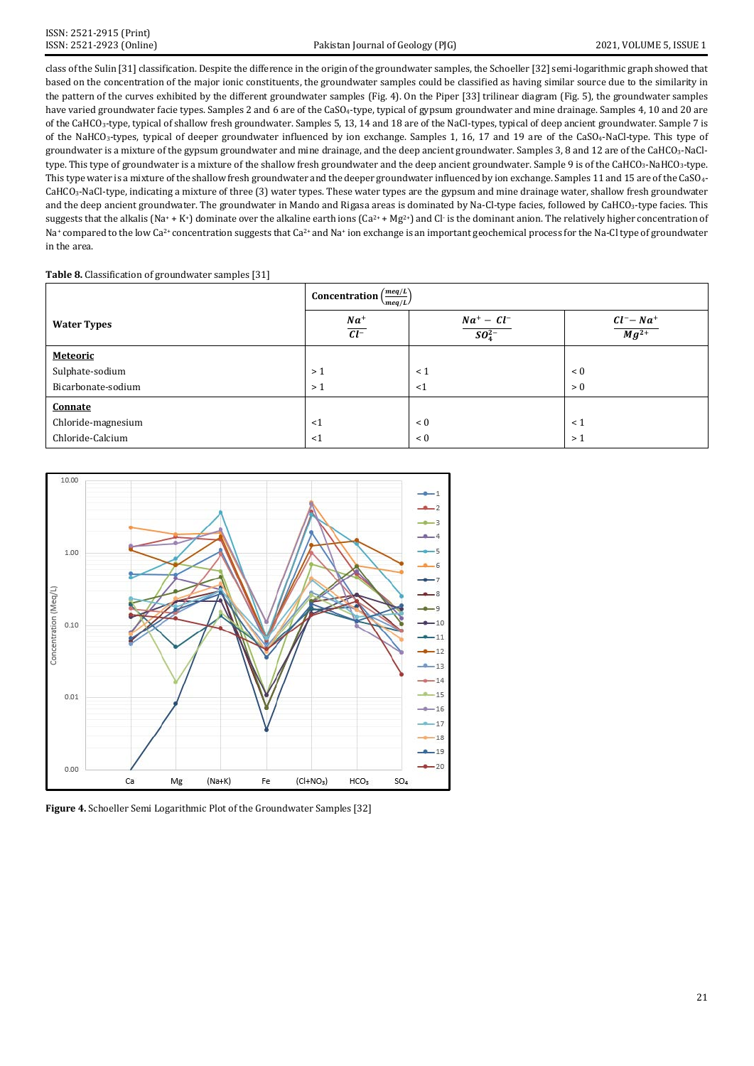class of the Sulin [31] classification. Despite the difference in the origin of the groundwater samples, the Schoeller [32] semi-logarithmic graph showed that based on the concentration of the major ionic constituents, the groundwater samples could be classified as having similar source due to the similarity in the pattern of the curves exhibited by the different groundwater samples (Fig. 4). On the Piper [33] trilinear diagram (Fig. 5), the groundwater samples have varied groundwater facie types. Samples 2 and 6 are of the CaSO<sub>4</sub>-type, typical of gypsum groundwater and mine drainage. Samples 4, 10 and 20 are of the CaHCO3-type, typical of shallow fresh groundwater. Samples 5, 13, 14 and 18 are of the NaCl-types, typical of deep ancient groundwater. Sample 7 is of the NaHCO3-types, typical of deeper groundwater influenced by ion exchange. Samples 1, 16, 17 and 19 are of the CaSO4-NaCl-type. This type of groundwater is a mixture of the gypsum groundwater and mine drainage, and the deep ancient groundwater. Samples 3, 8 and 12 are of the CaHCO3-NaCltype. This type of groundwater is a mixture of the shallow fresh groundwater and the deep ancient groundwater. Sample 9 is of the CaHCO<sub>3</sub>-NaHCO<sub>3</sub>-type. This type water is a mixture of the shallow fresh groundwater and the deeper groundwater influenced by ion exchange. Samples 11 and 15 are of the CaSO4- CaHCO3-NaCl-type, indicating a mixture of three (3) water types. These water types are the gypsum and mine drainage water, shallow fresh groundwater and the deep ancient groundwater. The groundwater in Mando and Rigasa areas is dominated by Na-Cl-type facies, followed by CaHCO3-type facies. This suggests that the alkalis (Na+ + K+) dominate over the alkaline earth ions (Ca<sup>2+</sup> + Mg<sup>2+</sup>) and Cl- is the dominant anion. The relatively higher concentration of Na+ compared to the low Ca<sup>2+</sup> concentration suggests that Ca<sup>2+</sup> and Na+ ion exchange is an important geochemical process for the Na-Cl type of groundwater in the area.

# **Table 8.** Classification of groundwater samples [31]

|                    | Concentration $\left(\frac{meq/L}{meq/L}\right)$ |                              |                            |  |  |  |
|--------------------|--------------------------------------------------|------------------------------|----------------------------|--|--|--|
| <b>Water Types</b> | $\frac{Na^+}{Cl^-}$                              | $Na^+ - Cl^-$<br>$SO_4^{2-}$ | $Cl^- - Na^+$<br>$Mg^{2+}$ |  |  |  |
| <b>Meteoric</b>    |                                                  |                              |                            |  |  |  |
| Sulphate-sodium    | >1                                               | $\leq 1$                     | < 0                        |  |  |  |
| Bicarbonate-sodium | >1                                               | <1                           | > 0                        |  |  |  |
| Connate            |                                                  |                              |                            |  |  |  |
| Chloride-magnesium | $\leq$ 1                                         | < 0                          | $\leq 1$                   |  |  |  |
| Chloride-Calcium   | <1                                               | < 0                          | >1                         |  |  |  |



**Figure 4.** Schoeller Semi Logarithmic Plot of the Groundwater Samples [32]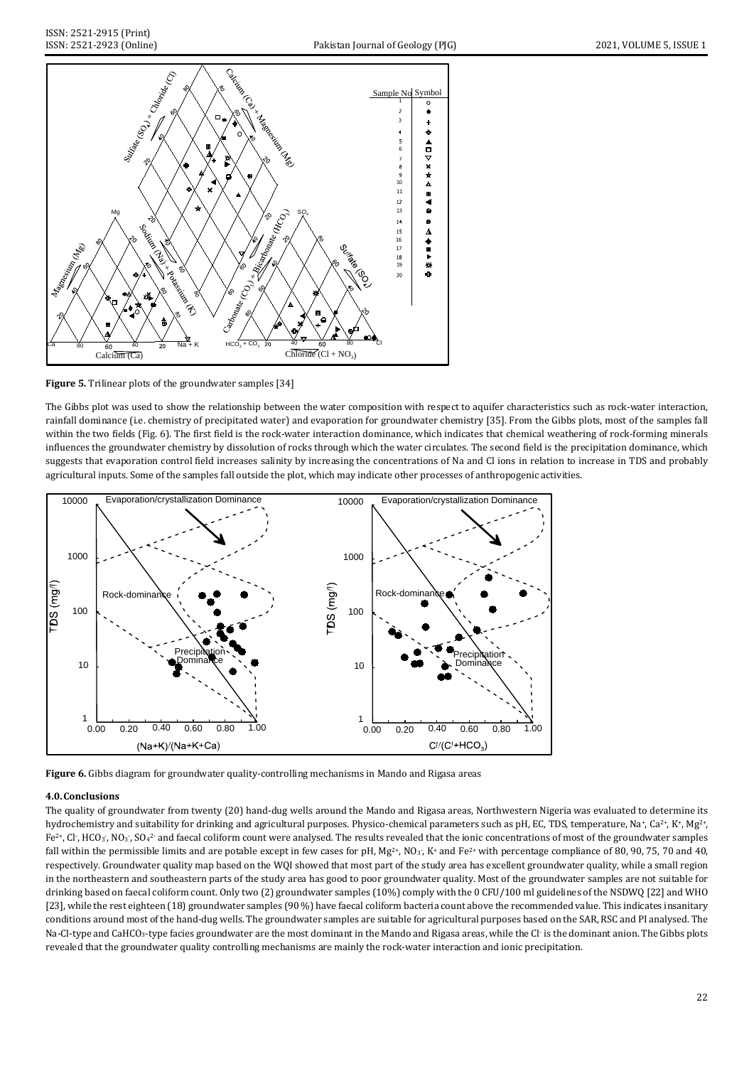



The Gibbs plot was used to show the relationship between the water composition with respect to aquifer characteristics such as rock-water interaction, rainfall dominance (i.e. chemistry of precipitated water) and evaporation for groundwater chemistry [35]. From the Gibbs plots, most of the samples fall within the two fields (Fig. 6). The first field is the rock-water interaction dominance, which indicates that chemical weathering of rock-forming minerals influences the groundwater chemistry by dissolution of rocks through which the water circulates. The second field is the precipitation dominance, which suggests that evaporation control field increases salinity by increasing the concentrations of Na and Cl ions in relation to increase in TDS and probably agricultural inputs. Some of the samples fall outside the plot, which may indicate other processes of anthropogenic activities.



**Figure 6.** Gibbs diagram for groundwater quality-controlling mechanisms in Mando and Rigasa areas

# **4.0.Conclusions**

The quality of groundwater from twenty (20) hand-dug wells around the Mando and Rigasa areas, Northwestern Nigeria was evaluated to determine its hydrochemistry and suitability for drinking and agricultural purposes. Physico-chemical parameters such as pH, EC, TDS, temperature, Na+, Ca<sup>2+</sup>, K+, Mg<sup>2+</sup>,  $Fe^{2*}$ , Cl $\cdot$ , HCO $_3$ , NO $_3$ , SO $_4$ <sup>2</sup> and faecal coliform count were analysed. The results revealed that the ionic concentrations of most of the groundwater samples fall within the permissible limits and are potable except in few cases for pH, Mg<sup>2+</sup>, NO<sub>3</sub>-, K+ and Fe<sup>2+</sup> with percentage compliance of 80, 90, 75, 70 and 40, respectively. Groundwater quality map based on the WQI showed that most part of the study area has excellent groundwater quality, while a small region in the northeastern and southeastern parts of the study area has good to poor groundwater quality. Most of the groundwater samples are not suitable for drinking based on faecal coliform count. Only two (2) groundwater samples (10%) comply with the 0 CFU/100 ml guidelines of the NSDWQ [22] and WHO [23], while the rest eighteen (18) groundwater samples (90 %) have faecal coliform bacteria count above the recommended value. This indicates insanitary conditions around most of the hand-dug wells. The groundwater samples are suitable for agricultural purposes based on the SAR, RSC and PI analysed. The Na-Cl-type and CaHCO<sub>3</sub>-type facies groundwater are the most dominant in the Mando and Rigasa areas, while the Cl· is the dominant anion. The Gibbs plots revealed that the groundwater quality controlling mechanisms are mainly the rock-water interaction and ionic precipitation.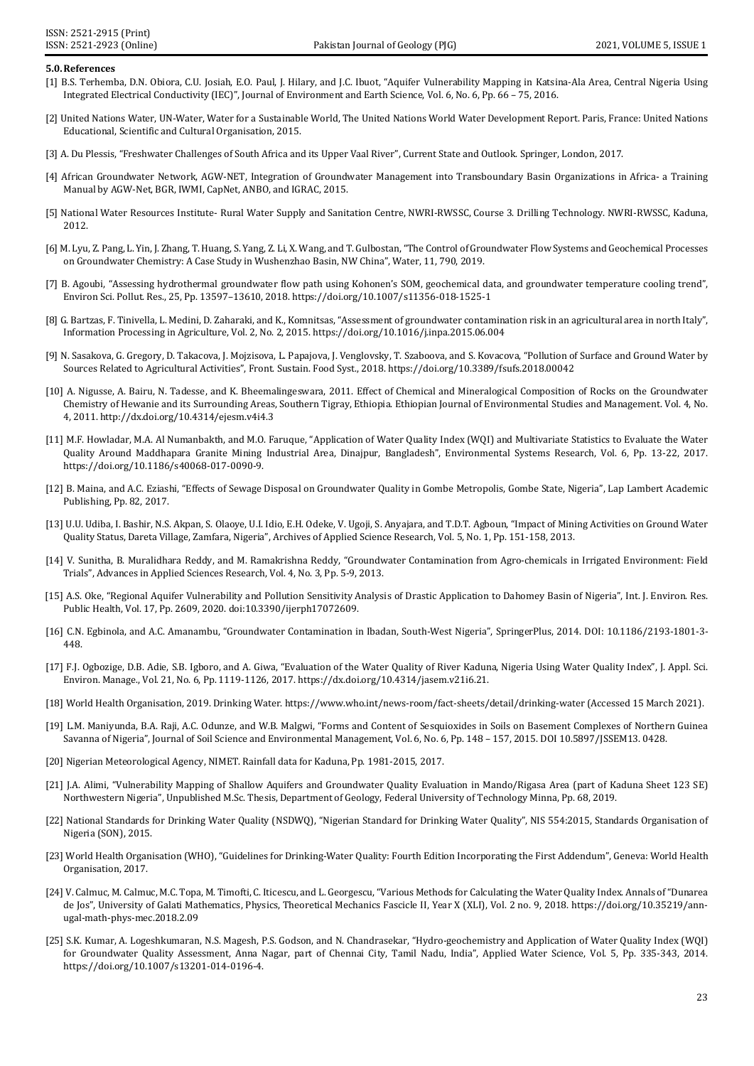#### **5.0.References**

- [1] B.S. Terhemba, D.N. Obiora, C.U. Josiah, E.O. Paul, J. Hilary, and J.C. Ibuot, "Aquifer Vulnerability Mapping in Katsina-Ala Area, Central Nigeria Using Integrated Electrical Conductivity (IEC)", Journal of Environment and Earth Science, Vol. 6, No. 6, Pp. 66 – 75, 2016.
- [2] United Nations Water, UN-Water, Water for a Sustainable World, The United Nations World Water Development Report. Paris, France: United Nations Educational, Scientific and Cultural Organisation, 2015.
- [3] A. Du Plessis, "Freshwater Challenges of South Africa and its Upper Vaal River", Current State and Outlook. Springer, London, 2017.
- [4] African Groundwater Network, AGW-NET, Integration of Groundwater Management into Transboundary Basin Organizations in Africa- a Training Manual by AGW-Net, BGR, IWMI, CapNet, ANBO, and IGRAC, 2015.
- [5] National Water Resources Institute- Rural Water Supply and Sanitation Centre, NWRI-RWSSC, Course 3. Drilling Technology. NWRI-RWSSC, Kaduna, 2012.
- [6] M. Lyu, Z. Pang, L. Yin, J. Zhang, T.Huang, S. Yang, Z. Li, X. Wang, and T. Gulbostan, "The Control of Groundwater Flow Systems and Geochemical Processes on Groundwater Chemistry: A Case Study in Wushenzhao Basin, NW China", Water, 11, 790, 2019.
- [7] B. Agoubi, "Assessing hydrothermal groundwater flow path using Kohonen's SOM, geochemical data, and groundwater temperature cooling trend", Environ Sci. Pollut. Res., 25, Pp. 13597–13610, 2018. https://doi.org/10.1007/s11356-018-1525-1
- [8] G. Bartzas, F. Tinivella, L. Medini, D. Zaharaki, and K., Komnitsas, "Assessment of groundwater contamination risk in an agricultural area in north Italy", Information Processing in Agriculture, Vol. 2, No. 2, 2015. https://doi.org/10.1016/j.inpa.2015.06.004
- [9] N. Sasakova, G. Gregory, D. Takacova, J. Mojzisova, L. Papajova, J. Venglovsky, T. Szaboova, and S. Kovacova, "Pollution of Surface and Ground Water by Sources Related to Agricultural Activities", Front. Sustain. Food Syst., 2018. https://doi.org/10.3389/fsufs.2018.00042
- [10] A. Nigusse, A. Bairu, N. Tadesse, and K. Bheemalingeswara, 2011. Effect of Chemical and Mineralogical Composition of Rocks on the Groundwater Chemistry of Hewanie and its Surrounding Areas, Southern Tigray, Ethiopia. Ethiopian Journal of Environmental Studies and Management. Vol. 4, No. 4, 2011. http://dx.doi.org/10.4314/ejesm.v4i4.3
- [11] M.F. Howladar, M.A. Al Numanbakth, and M.O. Faruque, "Application of Water Quality Index (WQI) and Multivariate Statistics to Evaluate the Water Quality Around Maddhapara Granite Mining Industrial Area, Dinajpur, Bangladesh", Environmental Systems Research, Vol. 6, Pp. 13-22, 2017. https://doi.org/10.1186/s40068-017-0090-9.
- [12] B. Maina, and A.C. Eziashi, "Effects of Sewage Disposal on Groundwater Quality in Gombe Metropolis, Gombe State, Nigeria", Lap Lambert Academic Publishing, Pp. 82, 2017.
- [13] U.U. Udiba, I. Bashir, N.S. Akpan, S. Olaoye, U.I. Idio, E.H. Odeke, V. Ugoji, S. Anyajara, and T.D.T. Agboun, "Impact of Mining Activities on Ground Water Quality Status, Dareta Village, Zamfara, Nigeria", Archives of Applied Science Research, Vol. 5, No. 1, Pp. 151-158, 2013.
- [14] V. Sunitha, B. Muralidhara Reddy, and M. Ramakrishna Reddy, "Groundwater Contamination from Agro-chemicals in Irrigated Environment: Field Trials", Advances in Applied Sciences Research, Vol. 4, No. 3, Pp. 5-9, 2013.
- [15] A.S. Oke, "Regional Aquifer Vulnerability and Pollution Sensitivity Analysis of Drastic Application to Dahomey Basin of Nigeria", Int. J. Environ. Res. Public Health, Vol. 17, Pp. 2609, 2020. doi:10.3390/ijerph17072609.
- [16] C.N. Egbinola, and A.C. Amanambu, "Groundwater Contamination in Ibadan, South-West Nigeria", SpringerPlus, 2014. DOI: 10.1186/2193-1801-3- 448.
- [17] F.J. Ogbozige, D.B. Adie, S.B. Igboro, and A. Giwa, "Evaluation of the Water Quality of River Kaduna, Nigeria Using Water Quality Index", J. Appl. Sci. Environ. Manage., Vol. 21, No. 6, Pp. 1119-1126, 2017[. https://dx.doi.org/10.4314/jasem.v21i6.21.](https://dx.doi.org/10.4314/jasem.v21i6.21)
- [18] World Health Organisation, 2019. Drinking Water[. https://www.who.int/news-room/fact-sheets/detail/drinking-water](https://www.who.int/news-room/fact-sheets/detail/drinking-water) (Accessed 15 March 2021).
- [19] L.M. Maniyunda, B.A. Raji, A.C. Odunze, and W.B. Malgwi, "Forms and Content of Sesquioxides in Soils on Basement Complexes of Northern Guinea Savanna of Nigeria", Journal of Soil Science and Environmental Management, Vol. 6, No. 6, Pp. 148 – 157, 2015. DOI 10.5897/JSSEM13. 0428.
- [20] Nigerian Meteorological Agency, NIMET. Rainfall data for Kaduna, Pp. 1981-2015, 2017.
- [21] J.A. Alimi, "Vulnerability Mapping of Shallow Aquifers and Groundwater Quality Evaluation in Mando/Rigasa Area (part of Kaduna Sheet 123 SE) Northwestern Nigeria", Unpublished M.Sc. Thesis, Department of Geology, Federal University of Technology Minna, Pp. 68, 2019.
- [22] National Standards for Drinking Water Quality (NSDWQ), "Nigerian Standard for Drinking Water Quality", NIS 554:2015, Standards Organisation of Nigeria (SON), 2015.
- [23] World Health Organisation (WHO), "Guidelines for Drinking-Water Quality: Fourth Edition Incorporating the First Addendum", Geneva: World Health Organisation, 2017.
- [24] V. Calmuc, M. Calmuc, M.C. Topa, M. Timofti, C. Iticescu, and L. Georgescu, "Various Methods for Calculating the Water Quality Index. Annals of "Dunarea de Jos", University of Galati Mathematics, Physics, Theoretical Mechanics Fascicle II, Year X (XLI), Vol. 2 no. 9, 2018. https://doi.org/10.35219/annugal-math-phys-mec.2018.2.09
- [25] S.K. Kumar, A. Logeshkumaran, N.S. Magesh, P.S. Godson, and N. Chandrasekar, "Hydro-geochemistry and Application of Water Quality Index (WQI) for Groundwater Quality Assessment, Anna Nagar, part of Chennai City, Tamil Nadu, India", Applied Water Science, Vol. 5, Pp. 335-343, 2014. https://doi.org/10.1007/s13201-014-0196-4.